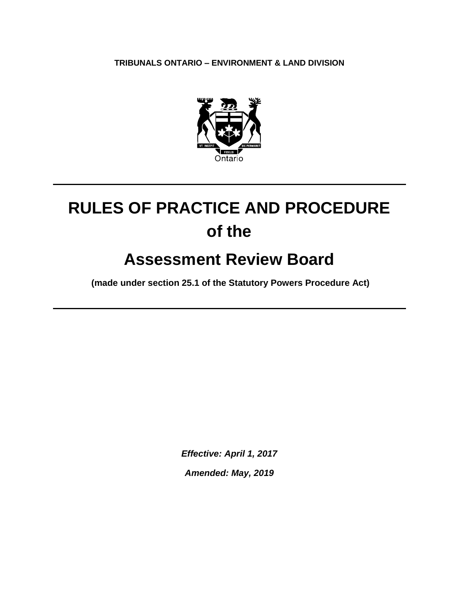**TRIBUNALS ONTARIO – ENVIRONMENT & LAND DIVISION**



# **RULES OF PRACTICE AND PROCEDURE of the**

# **Assessment Review Board**

**(made under section 25.1 of the Statutory Powers Procedure Act)**

*Effective: April 1, 2017*

*Amended: May, 2019*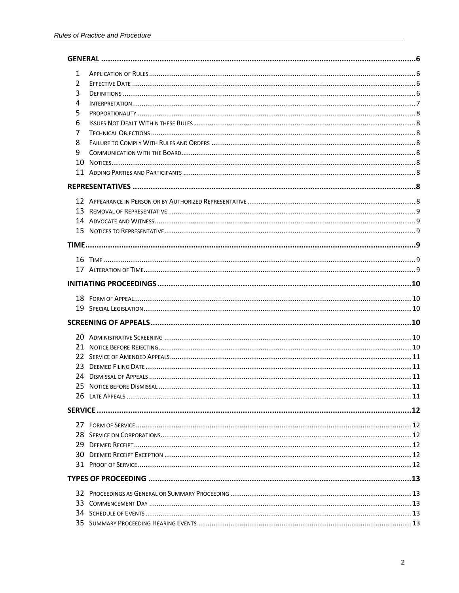| 1 |  |
|---|--|
| 2 |  |
| 3 |  |
| 4 |  |
| 5 |  |
| 6 |  |
| 7 |  |
| 8 |  |
| 9 |  |
|   |  |
|   |  |
|   |  |
|   |  |
|   |  |
|   |  |
|   |  |
|   |  |
|   |  |
|   |  |
|   |  |
|   |  |
|   |  |
|   |  |
|   |  |
|   |  |
|   |  |
|   |  |
|   |  |
|   |  |
|   |  |
|   |  |
|   |  |
|   |  |
|   |  |
|   |  |
|   |  |
|   |  |
|   |  |
|   |  |
|   |  |
|   |  |
|   |  |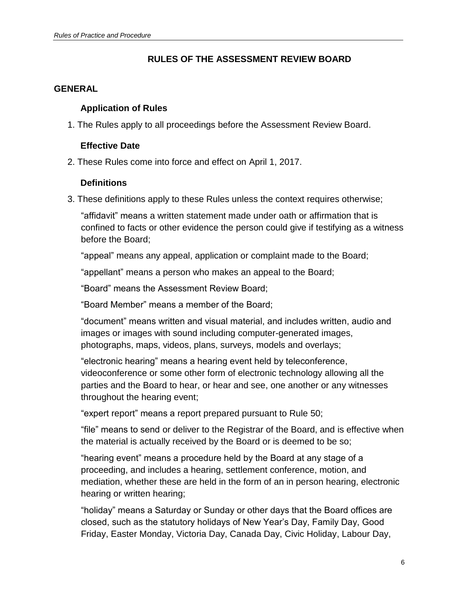## **RULES OF THE ASSESSMENT REVIEW BOARD**

#### <span id="page-5-1"></span><span id="page-5-0"></span>**GENERAL**

## **Application of Rules**

<span id="page-5-2"></span>1. The Rules apply to all proceedings before the Assessment Review Board.

## **Effective Date**

<span id="page-5-3"></span>2. These Rules come into force and effect on April 1, 2017.

## **Definitions**

3. These definitions apply to these Rules unless the context requires otherwise;

"affidavit" means a written statement made under oath or affirmation that is confined to facts or other evidence the person could give if testifying as a witness before the Board;

"appeal" means any appeal, application or complaint made to the Board;

"appellant" means a person who makes an appeal to the Board;

"Board" means the Assessment Review Board;

"Board Member" means a member of the Board;

"document" means written and visual material, and includes written, audio and images or images with sound including computer-generated images, photographs, maps, videos, plans, surveys, models and overlays;

"electronic hearing" means a hearing event held by teleconference, videoconference or some other form of electronic technology allowing all the parties and the Board to hear, or hear and see, one another or any witnesses throughout the hearing event;

"expert report" means a report prepared pursuant to Rule 50;

"file" means to send or deliver to the Registrar of the Board, and is effective when the material is actually received by the Board or is deemed to be so;

"hearing event" means a procedure held by the Board at any stage of a proceeding, and includes a hearing, settlement conference, motion, and mediation, whether these are held in the form of an in person hearing, electronic hearing or written hearing;

"holiday" means a Saturday or Sunday or other days that the Board offices are closed, such as the statutory holidays of New Year's Day, Family Day, Good Friday, Easter Monday, Victoria Day, Canada Day, Civic Holiday, Labour Day,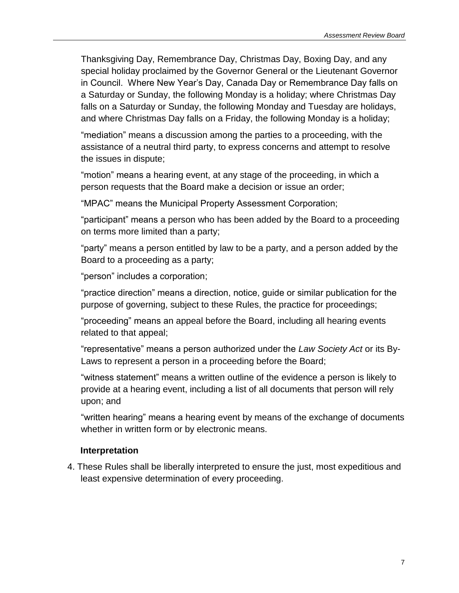Thanksgiving Day, Remembrance Day, Christmas Day, Boxing Day, and any special holiday proclaimed by the Governor General or the Lieutenant Governor in Council. Where New Year's Day, Canada Day or Remembrance Day falls on a Saturday or Sunday, the following Monday is a holiday; where Christmas Day falls on a Saturday or Sunday, the following Monday and Tuesday are holidays, and where Christmas Day falls on a Friday, the following Monday is a holiday;

"mediation" means a discussion among the parties to a proceeding, with the assistance of a neutral third party, to express concerns and attempt to resolve the issues in dispute;

"motion" means a hearing event, at any stage of the proceeding, in which a person requests that the Board make a decision or issue an order;

"MPAC" means the Municipal Property Assessment Corporation;

"participant" means a person who has been added by the Board to a proceeding on terms more limited than a party;

"party" means a person entitled by law to be a party, and a person added by the Board to a proceeding as a party;

"person" includes a corporation;

"practice direction" means a direction, notice, guide or similar publication for the purpose of governing, subject to these Rules, the practice for proceedings;

"proceeding" means an appeal before the Board, including all hearing events related to that appeal;

"representative" means a person authorized under the *Law Society Act* or its By-Laws to represent a person in a proceeding before the Board;

"witness statement" means a written outline of the evidence a person is likely to provide at a hearing event, including a list of all documents that person will rely upon; and

"written hearing" means a hearing event by means of the exchange of documents whether in written form or by electronic means.

## <span id="page-6-0"></span>**Interpretation**

4. These Rules shall be liberally interpreted to ensure the just, most expeditious and least expensive determination of every proceeding.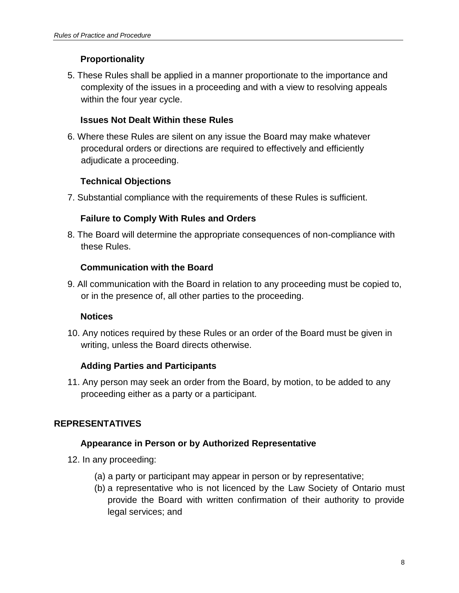## **Proportionality**

<span id="page-7-0"></span>5. These Rules shall be applied in a manner proportionate to the importance and complexity of the issues in a proceeding and with a view to resolving appeals within the four year cycle.

## <span id="page-7-1"></span>**Issues Not Dealt Within these Rules**

6. Where these Rules are silent on any issue the Board may make whatever procedural orders or directions are required to effectively and efficiently adjudicate a proceeding.

## <span id="page-7-2"></span>**Technical Objections**

<span id="page-7-3"></span>7. Substantial compliance with the requirements of these Rules is sufficient.

## **Failure to Comply With Rules and Orders**

<span id="page-7-4"></span>8. The Board will determine the appropriate consequences of non-compliance with these Rules.

## **Communication with the Board**

<span id="page-7-5"></span>9. All communication with the Board in relation to any proceeding must be copied to, or in the presence of, all other parties to the proceeding.

## **Notices**

<span id="page-7-6"></span>10. Any notices required by these Rules or an order of the Board must be given in writing, unless the Board directs otherwise.

## **Adding Parties and Participants**

11. Any person may seek an order from the Board, by motion, to be added to any proceeding either as a party or a participant.

## <span id="page-7-8"></span><span id="page-7-7"></span>**REPRESENTATIVES**

## **Appearance in Person or by Authorized Representative**

- 12. In any proceeding:
	- (a) a party or participant may appear in person or by representative;
	- (b) a representative who is not licenced by the Law Society of Ontario must provide the Board with written confirmation of their authority to provide legal services; and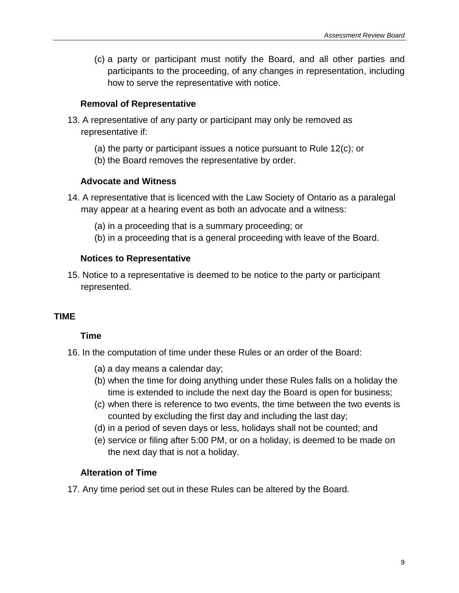(c) a party or participant must notify the Board, and all other parties and participants to the proceeding, of any changes in representation, including how to serve the representative with notice.

## <span id="page-8-0"></span>**Removal of Representative**

- 13. A representative of any party or participant may only be removed as representative if:
	- (a) the party or participant issues a notice pursuant to Rule 12(c); or
	- (b) the Board removes the representative by order.

## <span id="page-8-1"></span>**Advocate and Witness**

- 14. A representative that is licenced with the Law Society of Ontario as a paralegal may appear at a hearing event as both an advocate and a witness:
	- (a) in a proceeding that is a summary proceeding; or
	- (b) in a proceeding that is a general proceeding with leave of the Board.

## <span id="page-8-2"></span>**Notices to Representative**

15. Notice to a representative is deemed to be notice to the party or participant represented.

## <span id="page-8-4"></span><span id="page-8-3"></span>**TIME**

## **Time**

- 16. In the computation of time under these Rules or an order of the Board:
	- (a) a day means a calendar day;
	- (b) when the time for doing anything under these Rules falls on a holiday the time is extended to include the next day the Board is open for business;
	- (c) when there is reference to two events, the time between the two events is counted by excluding the first day and including the last day;
	- (d) in a period of seven days or less, holidays shall not be counted; and
	- (e) service or filing after 5:00 PM, or on a holiday, is deemed to be made on the next day that is not a holiday.

## **Alteration of Time**

<span id="page-8-5"></span>17. Any time period set out in these Rules can be altered by the Board.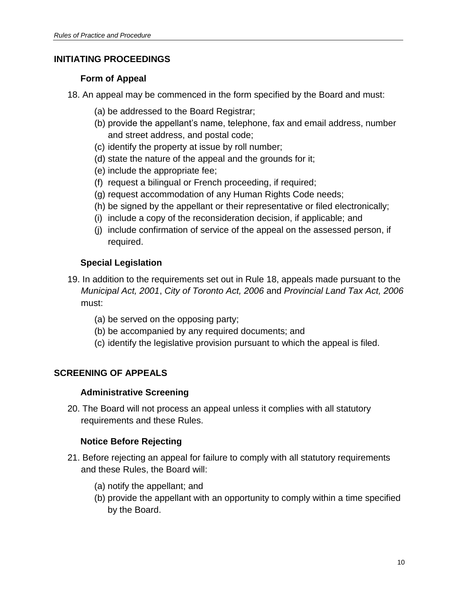## <span id="page-9-1"></span><span id="page-9-0"></span>**INITIATING PROCEEDINGS**

## **Form of Appeal**

18. An appeal may be commenced in the form specified by the Board and must:

- (a) be addressed to the Board Registrar;
- (b) provide the appellant's name, telephone, fax and email address, number and street address, and postal code;
- (c) identify the property at issue by roll number;
- (d) state the nature of the appeal and the grounds for it;
- (e) include the appropriate fee;
- (f) request a bilingual or French proceeding, if required;
- (g) request accommodation of any Human Rights Code needs;
- (h) be signed by the appellant or their representative or filed electronically;
- (i) include a copy of the reconsideration decision, if applicable; and
- (j) include confirmation of service of the appeal on the assessed person, if required.

## <span id="page-9-2"></span>**Special Legislation**

- 19. In addition to the requirements set out in Rule 18, appeals made pursuant to the *Municipal Act, 2001*, *City of Toronto Act, 2006* and *Provincial Land Tax Act, 2006* must:
	- (a) be served on the opposing party;
	- (b) be accompanied by any required documents; and
	- (c) identify the legislative provision pursuant to which the appeal is filed.

## <span id="page-9-4"></span><span id="page-9-3"></span>**SCREENING OF APPEALS**

## **Administrative Screening**

<span id="page-9-5"></span>20. The Board will not process an appeal unless it complies with all statutory requirements and these Rules.

## **Notice Before Rejecting**

- 21. Before rejecting an appeal for failure to comply with all statutory requirements and these Rules, the Board will:
	- (a) notify the appellant; and
	- (b) provide the appellant with an opportunity to comply within a time specified by the Board.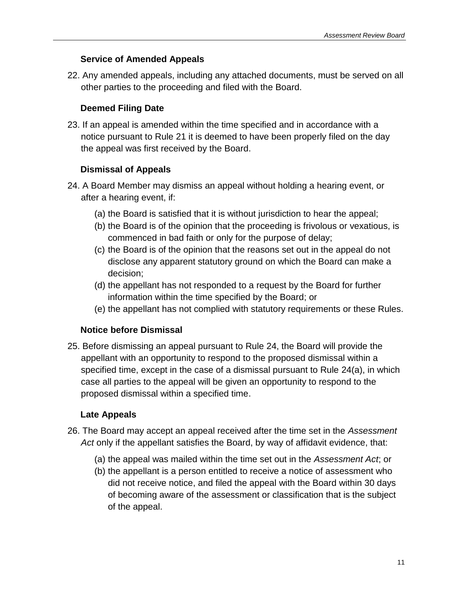## **Service of Amended Appeals**

<span id="page-10-1"></span><span id="page-10-0"></span>22. Any amended appeals, including any attached documents, must be served on all other parties to the proceeding and filed with the Board.

## **Deemed Filing Date**

23. If an appeal is amended within the time specified and in accordance with a notice pursuant to Rule 21 it is deemed to have been properly filed on the day the appeal was first received by the Board.

## **Dismissal of Appeals**

- <span id="page-10-2"></span>24. A Board Member may dismiss an appeal without holding a hearing event, or after a hearing event, if:
	- (a) the Board is satisfied that it is without jurisdiction to hear the appeal;
	- (b) the Board is of the opinion that the proceeding is frivolous or vexatious, is commenced in bad faith or only for the purpose of delay;
	- (c) the Board is of the opinion that the reasons set out in the appeal do not disclose any apparent statutory ground on which the Board can make a decision;
	- (d) the appellant has not responded to a request by the Board for further information within the time specified by the Board; or
	- (e) the appellant has not complied with statutory requirements or these Rules.

## <span id="page-10-3"></span>**Notice before Dismissal**

25. Before dismissing an appeal pursuant to Rule 24, the Board will provide the appellant with an opportunity to respond to the proposed dismissal within a specified time, except in the case of a dismissal pursuant to Rule 24(a), in which case all parties to the appeal will be given an opportunity to respond to the proposed dismissal within a specified time.

## <span id="page-10-4"></span>**Late Appeals**

- 26. The Board may accept an appeal received after the time set in the *Assessment Act* only if the appellant satisfies the Board, by way of affidavit evidence, that:
	- (a) the appeal was mailed within the time set out in the *Assessment Act*; or
	- (b) the appellant is a person entitled to receive a notice of assessment who did not receive notice, and filed the appeal with the Board within 30 days of becoming aware of the assessment or classification that is the subject of the appeal.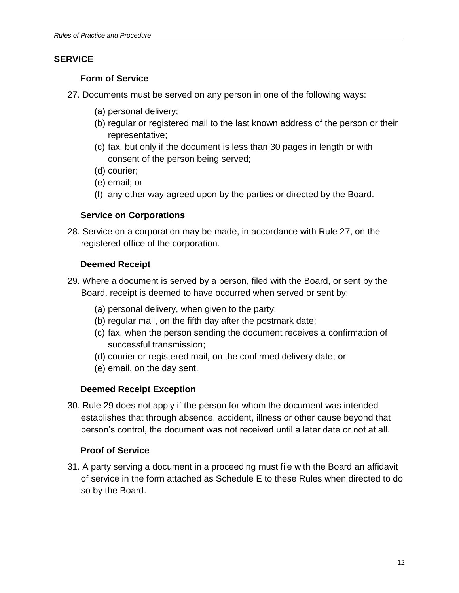## <span id="page-11-1"></span><span id="page-11-0"></span>**SERVICE**

## **Form of Service**

- 27. Documents must be served on any person in one of the following ways:
	- (a) personal delivery;
	- (b) regular or registered mail to the last known address of the person or their representative;
	- (c) fax, but only if the document is less than 30 pages in length or with consent of the person being served;
	- (d) courier;
	- (e) email; or
	- (f) any other way agreed upon by the parties or directed by the Board.

## **Service on Corporations**

<span id="page-11-3"></span><span id="page-11-2"></span>28. Service on a corporation may be made, in accordance with Rule 27, on the registered office of the corporation.

## **Deemed Receipt**

- 29. Where a document is served by a person, filed with the Board, or sent by the Board, receipt is deemed to have occurred when served or sent by:
	- (a) personal delivery, when given to the party;
	- (b) regular mail, on the fifth day after the postmark date;
	- (c) fax, when the person sending the document receives a confirmation of successful transmission;
	- (d) courier or registered mail, on the confirmed delivery date; or
	- (e) email, on the day sent.

## <span id="page-11-4"></span>**Deemed Receipt Exception**

30. Rule 29 does not apply if the person for whom the document was intended establishes that through absence, accident, illness or other cause beyond that person's control, the document was not received until a later date or not at all.

## <span id="page-11-5"></span>**Proof of Service**

31. A party serving a document in a proceeding must file with the Board an affidavit of service in the form attached as Schedule E to these Rules when directed to do so by the Board.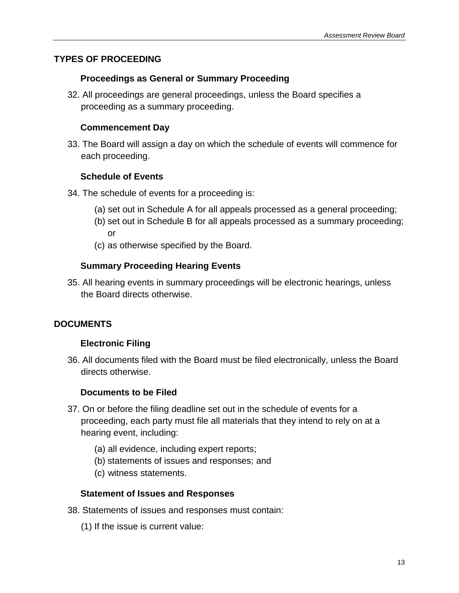## <span id="page-12-1"></span><span id="page-12-0"></span>**TYPES OF PROCEEDING**

#### **Proceedings as General or Summary Proceeding**

<span id="page-12-2"></span>32. All proceedings are general proceedings, unless the Board specifies a proceeding as a summary proceeding.

#### **Commencement Day**

<span id="page-12-3"></span>33. The Board will assign a day on which the schedule of events will commence for each proceeding.

## **Schedule of Events**

- 34. The schedule of events for a proceeding is:
	- (a) set out in Schedule A for all appeals processed as a general proceeding;
	- (b) set out in Schedule B for all appeals processed as a summary proceeding; or
	- (c) as otherwise specified by the Board.

## **Summary Proceeding Hearing Events**

<span id="page-12-4"></span>35. All hearing events in summary proceedings will be electronic hearings, unless the Board directs otherwise.

## <span id="page-12-6"></span><span id="page-12-5"></span>**DOCUMENTS**

## **Electronic Filing**

<span id="page-12-7"></span>36. All documents filed with the Board must be filed electronically, unless the Board directs otherwise.

#### **Documents to be Filed**

- 37. On or before the filing deadline set out in the schedule of events for a proceeding, each party must file all materials that they intend to rely on at a hearing event, including:
	- (a) all evidence, including expert reports;
	- (b) statements of issues and responses; and
	- (c) witness statements.

#### <span id="page-12-8"></span>**Statement of Issues and Responses**

- 38. Statements of issues and responses must contain:
	- (1) If the issue is current value: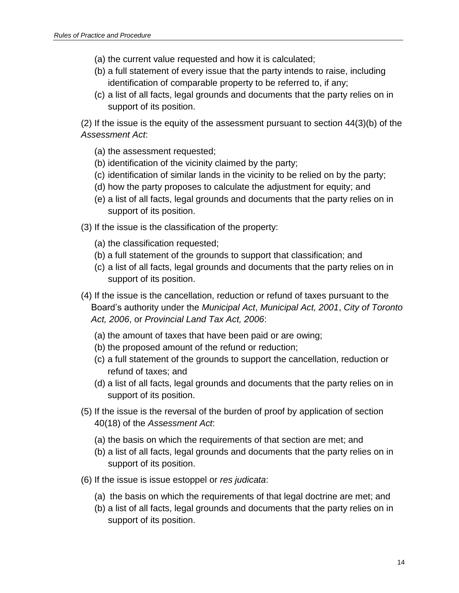- (a) the current value requested and how it is calculated;
- (b) a full statement of every issue that the party intends to raise, including identification of comparable property to be referred to, if any;
- (c) a list of all facts, legal grounds and documents that the party relies on in support of its position.

(2) If the issue is the equity of the assessment pursuant to section 44(3)(b) of the *Assessment Act*:

- (a) the assessment requested;
- (b) identification of the vicinity claimed by the party;
- (c) identification of similar lands in the vicinity to be relied on by the party;
- (d) how the party proposes to calculate the adjustment for equity; and
- (e) a list of all facts, legal grounds and documents that the party relies on in support of its position.
- (3) If the issue is the classification of the property:
	- (a) the classification requested;
	- (b) a full statement of the grounds to support that classification; and
	- (c) a list of all facts, legal grounds and documents that the party relies on in support of its position.
- (4) If the issue is the cancellation, reduction or refund of taxes pursuant to the Board's authority under the *Municipal Act*, *Municipal Act, 2001*, *City of Toronto Act, 2006*, or *Provincial Land Tax Act, 2006*:
	- (a) the amount of taxes that have been paid or are owing;
	- (b) the proposed amount of the refund or reduction;
	- (c) a full statement of the grounds to support the cancellation, reduction or refund of taxes; and
	- (d) a list of all facts, legal grounds and documents that the party relies on in support of its position.
- (5) If the issue is the reversal of the burden of proof by application of section 40(18) of the *Assessment Act*:
	- (a) the basis on which the requirements of that section are met; and
	- (b) a list of all facts, legal grounds and documents that the party relies on in support of its position.
- (6) If the issue is issue estoppel or *res judicata*:
	- (a) the basis on which the requirements of that legal doctrine are met; and
	- (b) a list of all facts, legal grounds and documents that the party relies on in support of its position.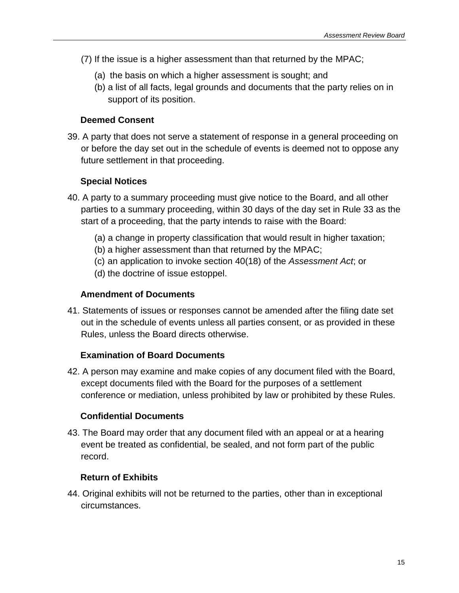- (7) If the issue is a higher assessment than that returned by the MPAC;
	- (a) the basis on which a higher assessment is sought; and
	- (b) a list of all facts, legal grounds and documents that the party relies on in support of its position.

## <span id="page-14-0"></span>**Deemed Consent**

39. A party that does not serve a statement of response in a general proceeding on or before the day set out in the schedule of events is deemed not to oppose any future settlement in that proceeding.

## <span id="page-14-1"></span>**Special Notices**

- 40. A party to a summary proceeding must give notice to the Board, and all other parties to a summary proceeding, within 30 days of the day set in Rule 33 as the start of a proceeding, that the party intends to raise with the Board:
	- (a) a change in property classification that would result in higher taxation;
	- (b) a higher assessment than that returned by the MPAC;
	- (c) an application to invoke section 40(18) of the *Assessment Act*; or
	- (d) the doctrine of issue estoppel.

## <span id="page-14-2"></span>**Amendment of Documents**

41. Statements of issues or responses cannot be amended after the filing date set out in the schedule of events unless all parties consent, or as provided in these Rules, unless the Board directs otherwise.

## <span id="page-14-3"></span>**Examination of Board Documents**

42. A person may examine and make copies of any document filed with the Board, except documents filed with the Board for the purposes of a settlement conference or mediation, unless prohibited by law or prohibited by these Rules.

## <span id="page-14-4"></span>**Confidential Documents**

43. The Board may order that any document filed with an appeal or at a hearing event be treated as confidential, be sealed, and not form part of the public record.

## <span id="page-14-5"></span>**Return of Exhibits**

44. Original exhibits will not be returned to the parties, other than in exceptional circumstances.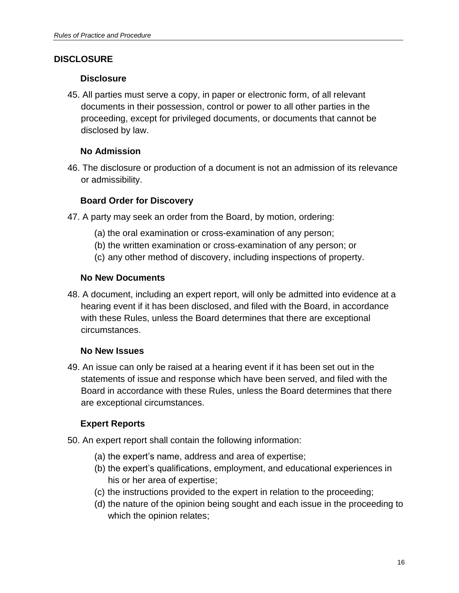## <span id="page-15-1"></span><span id="page-15-0"></span>**DISCLOSURE**

## **Disclosure**

45. All parties must serve a copy, in paper or electronic form, of all relevant documents in their possession, control or power to all other parties in the proceeding, except for privileged documents, or documents that cannot be disclosed by law.

## <span id="page-15-2"></span>**No Admission**

<span id="page-15-3"></span>46. The disclosure or production of a document is not an admission of its relevance or admissibility.

## **Board Order for Discovery**

- 47. A party may seek an order from the Board, by motion, ordering:
	- (a) the oral examination or cross-examination of any person;
	- (b) the written examination or cross-examination of any person; or
	- (c) any other method of discovery, including inspections of property.

## <span id="page-15-4"></span>**No New Documents**

48. A document, including an expert report, will only be admitted into evidence at a hearing event if it has been disclosed, and filed with the Board, in accordance with these Rules, unless the Board determines that there are exceptional circumstances.

## **No New Issues**

<span id="page-15-5"></span>49. An issue can only be raised at a hearing event if it has been set out in the statements of issue and response which have been served, and filed with the Board in accordance with these Rules, unless the Board determines that there are exceptional circumstances.

## **Expert Reports**

- <span id="page-15-6"></span>50. An expert report shall contain the following information:
	- (a) the expert's name, address and area of expertise;
	- (b) the expert's qualifications, employment, and educational experiences in his or her area of expertise;
	- (c) the instructions provided to the expert in relation to the proceeding;
	- (d) the nature of the opinion being sought and each issue in the proceeding to which the opinion relates;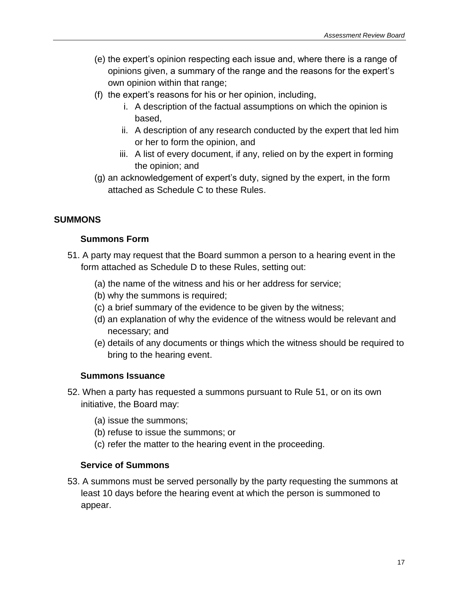- (e) the expert's opinion respecting each issue and, where there is a range of opinions given, a summary of the range and the reasons for the expert's own opinion within that range;
- (f) the expert's reasons for his or her opinion, including,
	- i. A description of the factual assumptions on which the opinion is based,
	- ii. A description of any research conducted by the expert that led him or her to form the opinion, and
	- iii. A list of every document, if any, relied on by the expert in forming the opinion; and
- (g) an acknowledgement of expert's duty, signed by the expert, in the form attached as Schedule C to these Rules.

## <span id="page-16-1"></span><span id="page-16-0"></span>**SUMMONS**

## **Summons Form**

- 51. A party may request that the Board summon a person to a hearing event in the form attached as Schedule D to these Rules, setting out:
	- (a) the name of the witness and his or her address for service;
	- (b) why the summons is required;
	- (c) a brief summary of the evidence to be given by the witness;
	- (d) an explanation of why the evidence of the witness would be relevant and necessary; and
	- (e) details of any documents or things which the witness should be required to bring to the hearing event.

## <span id="page-16-2"></span>**Summons Issuance**

- 52. When a party has requested a summons pursuant to Rule 51, or on its own initiative, the Board may:
	- (a) issue the summons;
	- (b) refuse to issue the summons; or
	- (c) refer the matter to the hearing event in the proceeding.

## <span id="page-16-3"></span>**Service of Summons**

53. A summons must be served personally by the party requesting the summons at least 10 days before the hearing event at which the person is summoned to appear.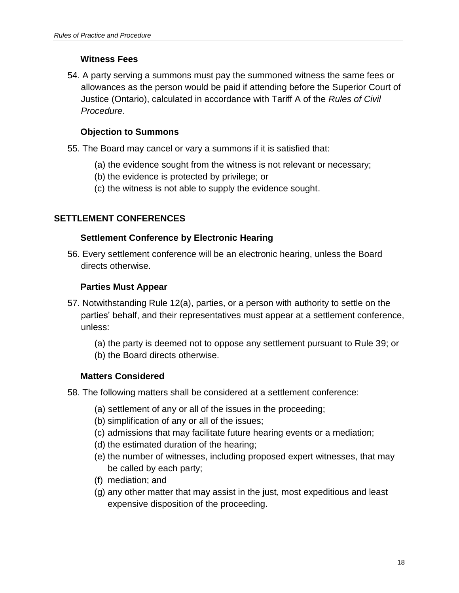## **Witness Fees**

<span id="page-17-0"></span>54. A party serving a summons must pay the summoned witness the same fees or allowances as the person would be paid if attending before the Superior Court of Justice (Ontario), calculated in accordance with Tariff A of the *Rules of Civil Procedure*.

## **Objection to Summons**

<span id="page-17-1"></span>55. The Board may cancel or vary a summons if it is satisfied that:

- (a) the evidence sought from the witness is not relevant or necessary;
- (b) the evidence is protected by privilege; or
- (c) the witness is not able to supply the evidence sought.

## <span id="page-17-3"></span><span id="page-17-2"></span>**SETTLEMENT CONFERENCES**

## **Settlement Conference by Electronic Hearing**

<span id="page-17-4"></span>56. Every settlement conference will be an electronic hearing, unless the Board directs otherwise.

## **Parties Must Appear**

- 57. Notwithstanding Rule 12(a), parties, or a person with authority to settle on the parties' behalf, and their representatives must appear at a settlement conference, unless:
	- (a) the party is deemed not to oppose any settlement pursuant to Rule 39; or
	- (b) the Board directs otherwise.

## <span id="page-17-5"></span>**Matters Considered**

- 58. The following matters shall be considered at a settlement conference:
	- (a) settlement of any or all of the issues in the proceeding;
	- (b) simplification of any or all of the issues;
	- (c) admissions that may facilitate future hearing events or a mediation;
	- (d) the estimated duration of the hearing;
	- (e) the number of witnesses, including proposed expert witnesses, that may be called by each party;
	- (f) mediation; and
	- (g) any other matter that may assist in the just, most expeditious and least expensive disposition of the proceeding.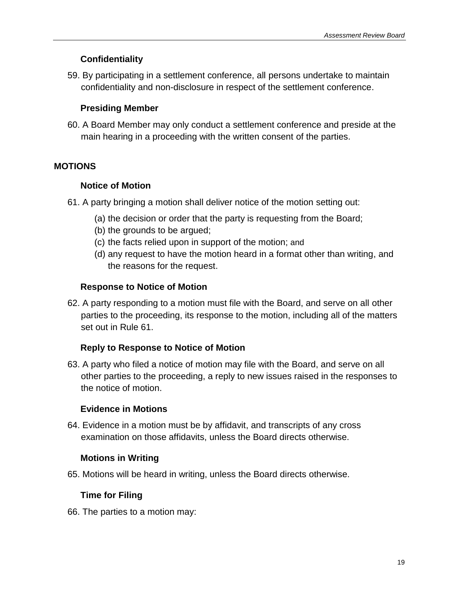## **Confidentiality**

<span id="page-18-0"></span>59. By participating in a settlement conference, all persons undertake to maintain confidentiality and non-disclosure in respect of the settlement conference.

## **Presiding Member**

<span id="page-18-1"></span>60. A Board Member may only conduct a settlement conference and preside at the main hearing in a proceeding with the written consent of the parties.

## <span id="page-18-3"></span><span id="page-18-2"></span>**MOTIONS**

## **Notice of Motion**

- 61. A party bringing a motion shall deliver notice of the motion setting out:
	- (a) the decision or order that the party is requesting from the Board;
	- (b) the grounds to be argued;
	- (c) the facts relied upon in support of the motion; and
	- (d) any request to have the motion heard in a format other than writing, and the reasons for the request.

## **Response to Notice of Motion**

<span id="page-18-4"></span>62. A party responding to a motion must file with the Board, and serve on all other parties to the proceeding, its response to the motion, including all of the matters set out in Rule 61.

## <span id="page-18-5"></span>**Reply to Response to Notice of Motion**

63. A party who filed a notice of motion may file with the Board, and serve on all other parties to the proceeding, a reply to new issues raised in the responses to the notice of motion.

## <span id="page-18-6"></span>**Evidence in Motions**

<span id="page-18-7"></span>64. Evidence in a motion must be by affidavit, and transcripts of any cross examination on those affidavits, unless the Board directs otherwise.

## **Motions in Writing**

<span id="page-18-8"></span>65. Motions will be heard in writing, unless the Board directs otherwise.

## **Time for Filing**

66. The parties to a motion may: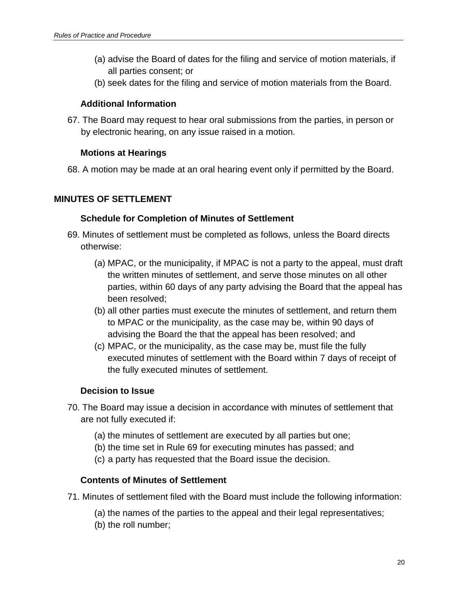- (a) advise the Board of dates for the filing and service of motion materials, if all parties consent; or
- (b) seek dates for the filing and service of motion materials from the Board.

## <span id="page-19-0"></span>**Additional Information**

<span id="page-19-1"></span>67. The Board may request to hear oral submissions from the parties, in person or by electronic hearing, on any issue raised in a motion.

## **Motions at Hearings**

68. A motion may be made at an oral hearing event only if permitted by the Board.

## <span id="page-19-3"></span><span id="page-19-2"></span>**MINUTES OF SETTLEMENT**

## **Schedule for Completion of Minutes of Settlement**

- 69. Minutes of settlement must be completed as follows, unless the Board directs otherwise:
	- (a) MPAC, or the municipality, if MPAC is not a party to the appeal, must draft the written minutes of settlement, and serve those minutes on all other parties, within 60 days of any party advising the Board that the appeal has been resolved;
	- (b) all other parties must execute the minutes of settlement, and return them to MPAC or the municipality, as the case may be, within 90 days of advising the Board the that the appeal has been resolved; and
	- (c) MPAC, or the municipality, as the case may be, must file the fully executed minutes of settlement with the Board within 7 days of receipt of the fully executed minutes of settlement.

## **Decision to Issue**

- <span id="page-19-4"></span>70. The Board may issue a decision in accordance with minutes of settlement that are not fully executed if:
	- (a) the minutes of settlement are executed by all parties but one;
	- (b) the time set in Rule 69 for executing minutes has passed; and
	- (c) a party has requested that the Board issue the decision.

## **Contents of Minutes of Settlement**

- <span id="page-19-5"></span>71. Minutes of settlement filed with the Board must include the following information:
	- (a) the names of the parties to the appeal and their legal representatives;
	- (b) the roll number;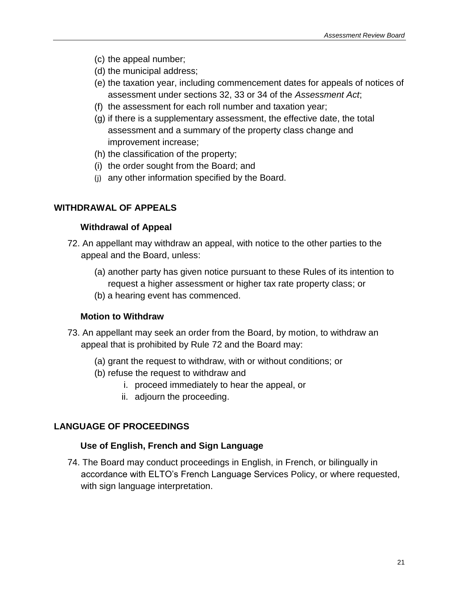- (c) the appeal number;
- (d) the municipal address;
- (e) the taxation year, including commencement dates for appeals of notices of assessment under sections 32, 33 or 34 of the *Assessment Act*;
- (f) the assessment for each roll number and taxation year;
- (g) if there is a supplementary assessment, the effective date, the total assessment and a summary of the property class change and improvement increase;
- (h) the classification of the property;
- (i) the order sought from the Board; and
- (j) any other information specified by the Board.

## <span id="page-20-1"></span><span id="page-20-0"></span>**WITHDRAWAL OF APPEALS**

## **Withdrawal of Appeal**

- 72. An appellant may withdraw an appeal, with notice to the other parties to the appeal and the Board, unless:
	- (a) another party has given notice pursuant to these Rules of its intention to request a higher assessment or higher tax rate property class; or
	- (b) a hearing event has commenced.

## **Motion to Withdraw**

- <span id="page-20-2"></span>73. An appellant may seek an order from the Board, by motion, to withdraw an appeal that is prohibited by Rule 72 and the Board may:
	- (a) grant the request to withdraw, with or without conditions; or
	- (b) refuse the request to withdraw and
		- i. proceed immediately to hear the appeal, or
		- ii. adjourn the proceeding.

## <span id="page-20-4"></span><span id="page-20-3"></span>**LANGUAGE OF PROCEEDINGS**

## **Use of English, French and Sign Language**

74. The Board may conduct proceedings in English, in French, or bilingually in accordance with ELTO's French Language Services Policy, or where requested, with sign language interpretation.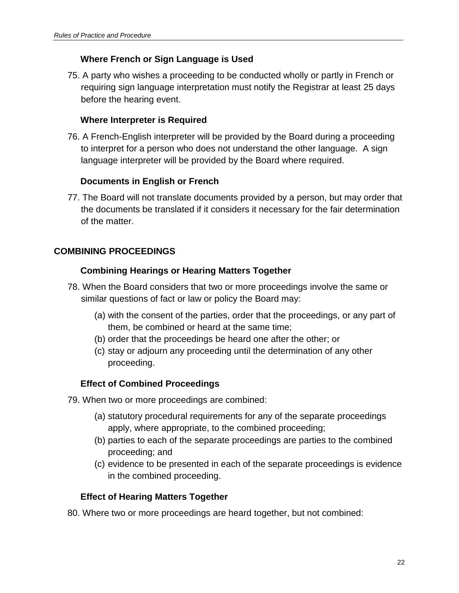## **Where French or Sign Language is Used**

<span id="page-21-0"></span>75. A party who wishes a proceeding to be conducted wholly or partly in French or requiring sign language interpretation must notify the Registrar at least 25 days before the hearing event.

## <span id="page-21-1"></span>**Where Interpreter is Required**

76. A French-English interpreter will be provided by the Board during a proceeding to interpret for a person who does not understand the other language. A sign language interpreter will be provided by the Board where required.

## **Documents in English or French**

<span id="page-21-2"></span>77. The Board will not translate documents provided by a person, but may order that the documents be translated if it considers it necessary for the fair determination of the matter.

## <span id="page-21-4"></span><span id="page-21-3"></span>**COMBINING PROCEEDINGS**

## **Combining Hearings or Hearing Matters Together**

- 78. When the Board considers that two or more proceedings involve the same or similar questions of fact or law or policy the Board may:
	- (a) with the consent of the parties, order that the proceedings, or any part of them, be combined or heard at the same time;
	- (b) order that the proceedings be heard one after the other; or
	- (c) stay or adjourn any proceeding until the determination of any other proceeding.

## **Effect of Combined Proceedings**

- <span id="page-21-5"></span>79. When two or more proceedings are combined:
	- (a) statutory procedural requirements for any of the separate proceedings apply, where appropriate, to the combined proceeding;
	- (b) parties to each of the separate proceedings are parties to the combined proceeding; and
	- (c) evidence to be presented in each of the separate proceedings is evidence in the combined proceeding.

## **Effect of Hearing Matters Together**

<span id="page-21-6"></span>80. Where two or more proceedings are heard together, but not combined: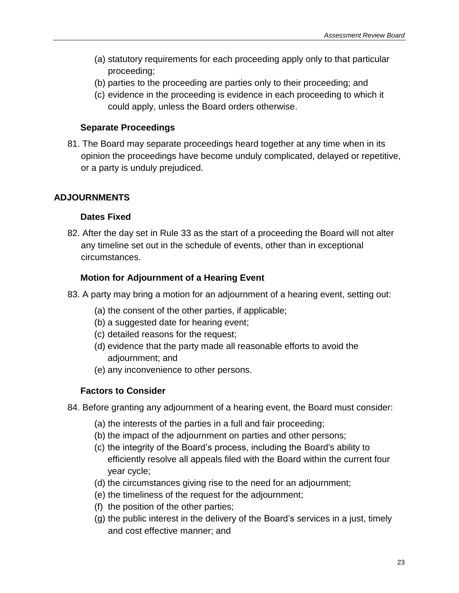- (a) statutory requirements for each proceeding apply only to that particular proceeding;
- (b) parties to the proceeding are parties only to their proceeding; and
- (c) evidence in the proceeding is evidence in each proceeding to which it could apply, unless the Board orders otherwise.

## **Separate Proceedings**

<span id="page-22-0"></span>81. The Board may separate proceedings heard together at any time when in its opinion the proceedings have become unduly complicated, delayed or repetitive, or a party is unduly prejudiced.

## <span id="page-22-2"></span><span id="page-22-1"></span>**ADJOURNMENTS**

## **Dates Fixed**

82. After the day set in Rule 33 as the start of a proceeding the Board will not alter any timeline set out in the schedule of events, other than in exceptional circumstances.

## <span id="page-22-3"></span>**Motion for Adjournment of a Hearing Event**

- 83. A party may bring a motion for an adjournment of a hearing event, setting out:
	- (a) the consent of the other parties, if applicable;
	- (b) a suggested date for hearing event;
	- (c) detailed reasons for the request;
	- (d) evidence that the party made all reasonable efforts to avoid the adjournment; and
	- (e) any inconvenience to other persons.

## <span id="page-22-4"></span>**Factors to Consider**

- 84. Before granting any adjournment of a hearing event, the Board must consider:
	- (a) the interests of the parties in a full and fair proceeding;
	- (b) the impact of the adjournment on parties and other persons;
	- (c) the integrity of the Board's process, including the Board's ability to efficiently resolve all appeals filed with the Board within the current four year cycle;
	- (d) the circumstances giving rise to the need for an adjournment;
	- (e) the timeliness of the request for the adjournment;
	- (f) the position of the other parties;
	- (g) the public interest in the delivery of the Board's services in a just, timely and cost effective manner; and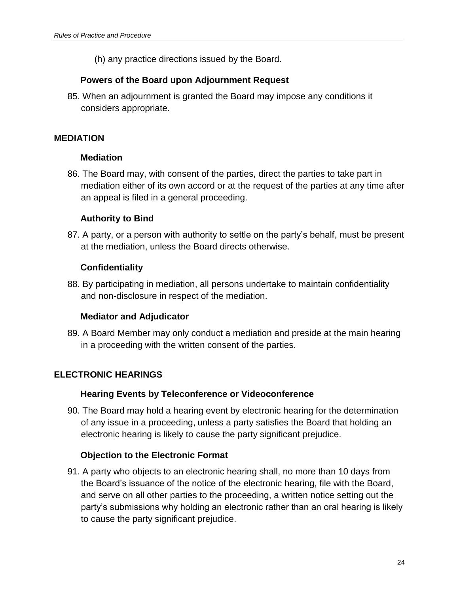(h) any practice directions issued by the Board.

## **Powers of the Board upon Adjournment Request**

<span id="page-23-0"></span>85. When an adjournment is granted the Board may impose any conditions it considers appropriate.

## <span id="page-23-2"></span><span id="page-23-1"></span>**MEDIATION**

## **Mediation**

86. The Board may, with consent of the parties, direct the parties to take part in mediation either of its own accord or at the request of the parties at any time after an appeal is filed in a general proceeding.

## **Authority to Bind**

<span id="page-23-3"></span>87. A party, or a person with authority to settle on the party's behalf, must be present at the mediation, unless the Board directs otherwise.

## **Confidentiality**

<span id="page-23-4"></span>88. By participating in mediation, all persons undertake to maintain confidentiality and non-disclosure in respect of the mediation.

## **Mediator and Adjudicator**

<span id="page-23-5"></span>89. A Board Member may only conduct a mediation and preside at the main hearing in a proceeding with the written consent of the parties.

## <span id="page-23-7"></span><span id="page-23-6"></span>**ELECTRONIC HEARINGS**

## **Hearing Events by Teleconference or Videoconference**

90. The Board may hold a hearing event by electronic hearing for the determination of any issue in a proceeding, unless a party satisfies the Board that holding an electronic hearing is likely to cause the party significant prejudice.

## <span id="page-23-8"></span>**Objection to the Electronic Format**

91. A party who objects to an electronic hearing shall, no more than 10 days from the Board's issuance of the notice of the electronic hearing, file with the Board, and serve on all other parties to the proceeding, a written notice setting out the party's submissions why holding an electronic rather than an oral hearing is likely to cause the party significant prejudice.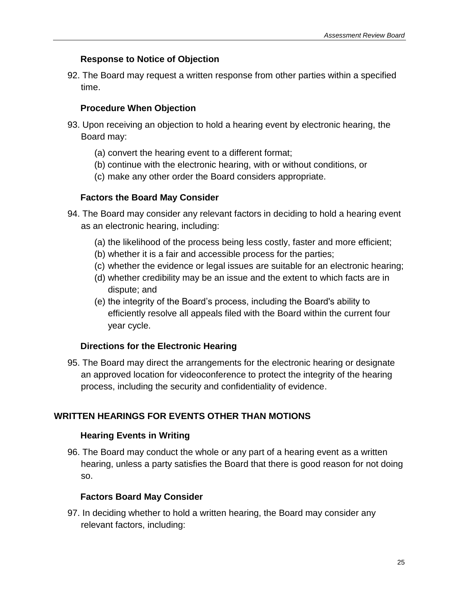## **Response to Notice of Objection**

<span id="page-24-1"></span><span id="page-24-0"></span>92. The Board may request a written response from other parties within a specified time.

## **Procedure When Objection**

- 93. Upon receiving an objection to hold a hearing event by electronic hearing, the Board may:
	- (a) convert the hearing event to a different format;
	- (b) continue with the electronic hearing, with or without conditions, or
	- (c) make any other order the Board considers appropriate.

## **Factors the Board May Consider**

- <span id="page-24-2"></span>94. The Board may consider any relevant factors in deciding to hold a hearing event as an electronic hearing, including:
	- (a) the likelihood of the process being less costly, faster and more efficient;
	- (b) whether it is a fair and accessible process for the parties;
	- (c) whether the evidence or legal issues are suitable for an electronic hearing;
	- (d) whether credibility may be an issue and the extent to which facts are in dispute; and
	- (e) the integrity of the Board's process, including the Board's ability to efficiently resolve all appeals filed with the Board within the current four year cycle.

## <span id="page-24-3"></span>**Directions for the Electronic Hearing**

95. The Board may direct the arrangements for the electronic hearing or designate an approved location for videoconference to protect the integrity of the hearing process, including the security and confidentiality of evidence.

## <span id="page-24-5"></span><span id="page-24-4"></span>**WRITTEN HEARINGS FOR EVENTS OTHER THAN MOTIONS**

## **Hearing Events in Writing**

96. The Board may conduct the whole or any part of a hearing event as a written hearing, unless a party satisfies the Board that there is good reason for not doing so.

## <span id="page-24-6"></span>**Factors Board May Consider**

97. In deciding whether to hold a written hearing, the Board may consider any relevant factors, including: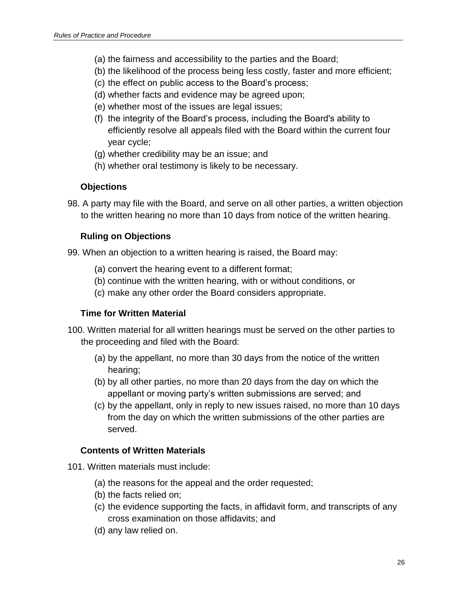- (a) the fairness and accessibility to the parties and the Board;
- (b) the likelihood of the process being less costly, faster and more efficient;
- (c) the effect on public access to the Board's process;
- (d) whether facts and evidence may be agreed upon;
- (e) whether most of the issues are legal issues;
- (f) the integrity of the Board's process, including the Board's ability to efficiently resolve all appeals filed with the Board within the current four year cycle;
- (g) whether credibility may be an issue; and
- (h) whether oral testimony is likely to be necessary.

#### <span id="page-25-0"></span>**Objections**

<span id="page-25-1"></span>98. A party may file with the Board, and serve on all other parties, a written objection to the written hearing no more than 10 days from notice of the written hearing.

## **Ruling on Objections**

- 99. When an objection to a written hearing is raised, the Board may:
	- (a) convert the hearing event to a different format;
	- (b) continue with the written hearing, with or without conditions, or
	- (c) make any other order the Board considers appropriate.

## <span id="page-25-2"></span>**Time for Written Material**

- 100. Written material for all written hearings must be served on the other parties to the proceeding and filed with the Board:
	- (a) by the appellant, no more than 30 days from the notice of the written hearing;
	- (b) by all other parties, no more than 20 days from the day on which the appellant or moving party's written submissions are served; and
	- (c) by the appellant, only in reply to new issues raised, no more than 10 days from the day on which the written submissions of the other parties are served.

## <span id="page-25-3"></span>**Contents of Written Materials**

101. Written materials must include:

- (a) the reasons for the appeal and the order requested;
- (b) the facts relied on;
- (c) the evidence supporting the facts, in affidavit form, and transcripts of any cross examination on those affidavits; and
- (d) any law relied on.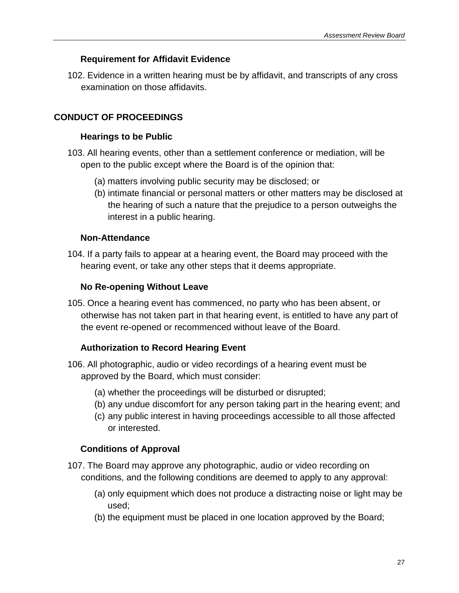## **Requirement for Affidavit Evidence**

<span id="page-26-0"></span>102. Evidence in a written hearing must be by affidavit, and transcripts of any cross examination on those affidavits.

## <span id="page-26-2"></span><span id="page-26-1"></span>**CONDUCT OF PROCEEDINGS**

## **Hearings to be Public**

- 103. All hearing events, other than a settlement conference or mediation, will be open to the public except where the Board is of the opinion that:
	- (a) matters involving public security may be disclosed; or
	- (b) intimate financial or personal matters or other matters may be disclosed at the hearing of such a nature that the prejudice to a person outweighs the interest in a public hearing.

## **Non-Attendance**

<span id="page-26-4"></span><span id="page-26-3"></span>104. If a party fails to appear at a hearing event, the Board may proceed with the hearing event, or take any other steps that it deems appropriate.

## **No Re-opening Without Leave**

105. Once a hearing event has commenced, no party who has been absent, or otherwise has not taken part in that hearing event, is entitled to have any part of the event re-opened or recommenced without leave of the Board.

## <span id="page-26-5"></span>**Authorization to Record Hearing Event**

- 106. All photographic, audio or video recordings of a hearing event must be approved by the Board, which must consider:
	- (a) whether the proceedings will be disturbed or disrupted;
	- (b) any undue discomfort for any person taking part in the hearing event; and
	- (c) any public interest in having proceedings accessible to all those affected or interested.

## <span id="page-26-6"></span>**Conditions of Approval**

- 107. The Board may approve any photographic, audio or video recording on conditions, and the following conditions are deemed to apply to any approval:
	- (a) only equipment which does not produce a distracting noise or light may be used;
	- (b) the equipment must be placed in one location approved by the Board;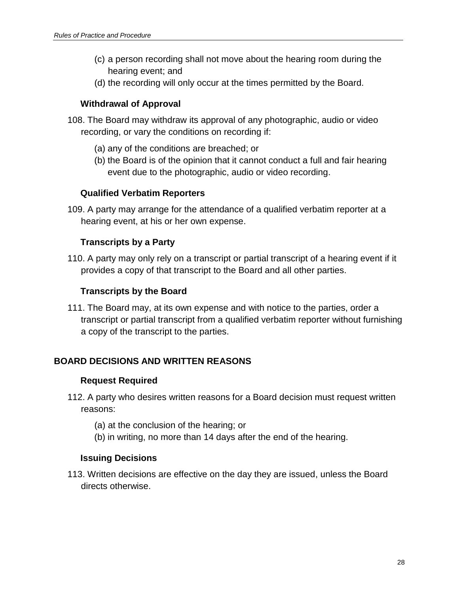- (c) a person recording shall not move about the hearing room during the hearing event; and
- (d) the recording will only occur at the times permitted by the Board.

## <span id="page-27-0"></span>**Withdrawal of Approval**

- 108. The Board may withdraw its approval of any photographic, audio or video recording, or vary the conditions on recording if:
	- (a) any of the conditions are breached; or
	- (b) the Board is of the opinion that it cannot conduct a full and fair hearing event due to the photographic, audio or video recording.

## **Qualified Verbatim Reporters**

<span id="page-27-2"></span><span id="page-27-1"></span>109. A party may arrange for the attendance of a qualified verbatim reporter at a hearing event, at his or her own expense.

## **Transcripts by a Party**

<span id="page-27-3"></span>110. A party may only rely on a transcript or partial transcript of a hearing event if it provides a copy of that transcript to the Board and all other parties.

## **Transcripts by the Board**

111. The Board may, at its own expense and with notice to the parties, order a transcript or partial transcript from a qualified verbatim reporter without furnishing a copy of the transcript to the parties.

## <span id="page-27-5"></span><span id="page-27-4"></span>**BOARD DECISIONS AND WRITTEN REASONS**

## **Request Required**

- 112. A party who desires written reasons for a Board decision must request written reasons:
	- (a) at the conclusion of the hearing; or
	- (b) in writing, no more than 14 days after the end of the hearing.

## <span id="page-27-6"></span>**Issuing Decisions**

113. Written decisions are effective on the day they are issued, unless the Board directs otherwise.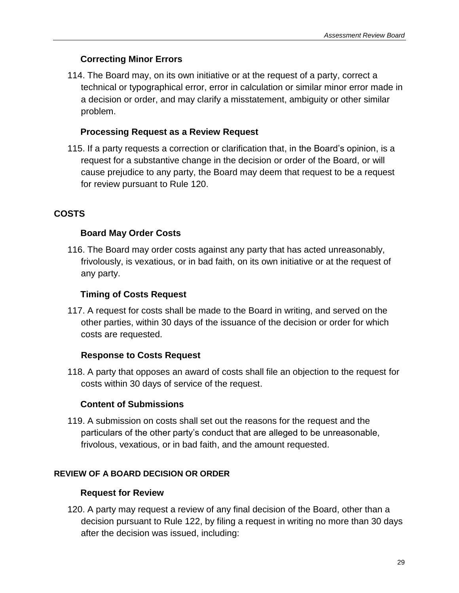## **Correcting Minor Errors**

<span id="page-28-0"></span>114. The Board may, on its own initiative or at the request of a party, correct a technical or typographical error, error in calculation or similar minor error made in a decision or order, and may clarify a misstatement, ambiguity or other similar problem.

## <span id="page-28-1"></span>**Processing Request as a Review Request**

115. If a party requests a correction or clarification that, in the Board's opinion, is a request for a substantive change in the decision or order of the Board, or will cause prejudice to any party, the Board may deem that request to be a request for review pursuant to Rule 120.

## <span id="page-28-3"></span><span id="page-28-2"></span>**COSTS**

## **Board May Order Costs**

116. The Board may order costs against any party that has acted unreasonably, frivolously, is vexatious, or in bad faith, on its own initiative or at the request of any party.

## <span id="page-28-4"></span>**Timing of Costs Request**

117. A request for costs shall be made to the Board in writing, and served on the other parties, within 30 days of the issuance of the decision or order for which costs are requested.

## **Response to Costs Request**

<span id="page-28-5"></span>118. A party that opposes an award of costs shall file an objection to the request for costs within 30 days of service of the request.

## **Content of Submissions**

119. A submission on costs shall set out the reasons for the request and the particulars of the other party's conduct that are alleged to be unreasonable, frivolous, vexatious, or in bad faith, and the amount requested.

## <span id="page-28-7"></span><span id="page-28-6"></span>**REVIEW OF A BOARD DECISION OR ORDER**

## **Request for Review**

120. A party may request a review of any final decision of the Board, other than a decision pursuant to Rule 122, by filing a request in writing no more than 30 days after the decision was issued, including: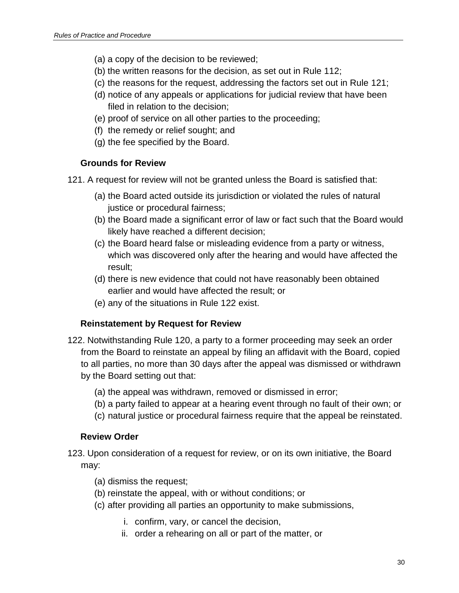- (a) a copy of the decision to be reviewed;
- (b) the written reasons for the decision, as set out in Rule 112;
- (c) the reasons for the request, addressing the factors set out in Rule 121;
- (d) notice of any appeals or applications for judicial review that have been filed in relation to the decision;
- (e) proof of service on all other parties to the proceeding;
- (f) the remedy or relief sought; and
- (g) the fee specified by the Board.

## <span id="page-29-0"></span>**Grounds for Review**

- 121. A request for review will not be granted unless the Board is satisfied that:
	- (a) the Board acted outside its jurisdiction or violated the rules of natural justice or procedural fairness;
	- (b) the Board made a significant error of law or fact such that the Board would likely have reached a different decision;
	- (c) the Board heard false or misleading evidence from a party or witness, which was discovered only after the hearing and would have affected the result;
	- (d) there is new evidence that could not have reasonably been obtained earlier and would have affected the result; or
	- (e) any of the situations in Rule 122 exist.

## **Reinstatement by Request for Review**

- <span id="page-29-1"></span>122. Notwithstanding Rule 120, a party to a former proceeding may seek an order from the Board to reinstate an appeal by filing an affidavit with the Board, copied to all parties, no more than 30 days after the appeal was dismissed or withdrawn by the Board setting out that:
	- (a) the appeal was withdrawn, removed or dismissed in error;
	- (b) a party failed to appear at a hearing event through no fault of their own; or
	- (c) natural justice or procedural fairness require that the appeal be reinstated.

## **Review Order**

- <span id="page-29-2"></span>123. Upon consideration of a request for review, or on its own initiative, the Board may:
	- (a) dismiss the request;
	- (b) reinstate the appeal, with or without conditions; or
	- (c) after providing all parties an opportunity to make submissions,
		- i. confirm, vary, or cancel the decision,
		- ii. order a rehearing on all or part of the matter, or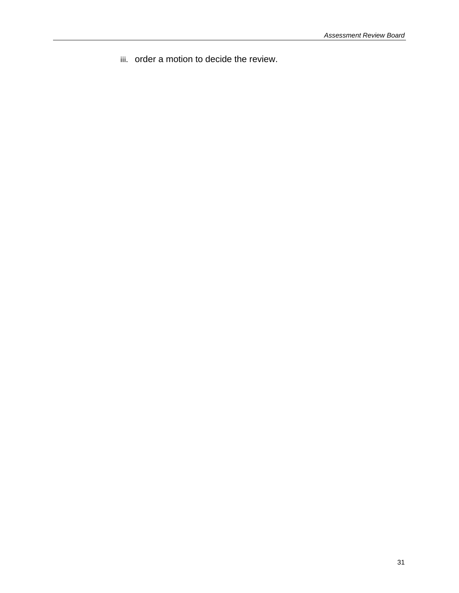iii. order a motion to decide the review.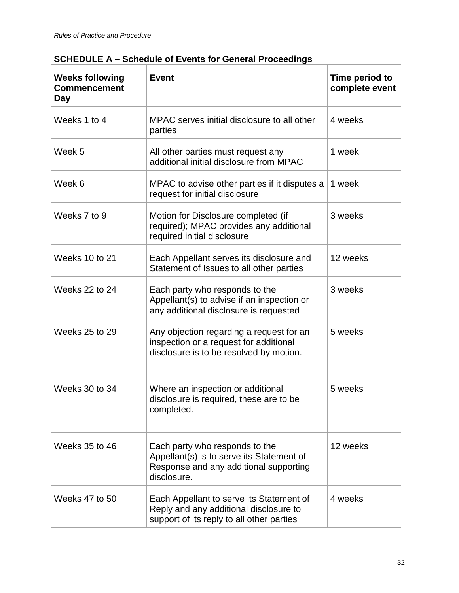| <b>Weeks following</b><br><b>Commencement</b><br>Day | <b>Event</b>                                                                                                                         | Time period to<br>complete event |
|------------------------------------------------------|--------------------------------------------------------------------------------------------------------------------------------------|----------------------------------|
| Weeks 1 to 4                                         | MPAC serves initial disclosure to all other<br>parties                                                                               | 4 weeks                          |
| Week 5                                               | All other parties must request any<br>additional initial disclosure from MPAC                                                        | 1 week                           |
| Week 6                                               | MPAC to advise other parties if it disputes a<br>request for initial disclosure                                                      | 1 week                           |
| Weeks 7 to 9                                         | Motion for Disclosure completed (if<br>required); MPAC provides any additional<br>required initial disclosure                        | 3 weeks                          |
| Weeks 10 to 21                                       | Each Appellant serves its disclosure and<br>Statement of Issues to all other parties                                                 | 12 weeks                         |
| Weeks 22 to 24                                       | Each party who responds to the<br>Appellant(s) to advise if an inspection or<br>any additional disclosure is requested               | 3 weeks                          |
| <b>Weeks 25 to 29</b>                                | Any objection regarding a request for an<br>inspection or a request for additional<br>disclosure is to be resolved by motion.        | 5 weeks                          |
| Weeks 30 to 34                                       | Where an inspection or additional<br>disclosure is required, these are to be<br>completed.                                           | 5 weeks                          |
| <b>Weeks 35 to 46</b>                                | Each party who responds to the<br>Appellant(s) is to serve its Statement of<br>Response and any additional supporting<br>disclosure. | 12 weeks                         |
| Weeks 47 to 50                                       | Each Appellant to serve its Statement of<br>Reply and any additional disclosure to<br>support of its reply to all other parties      | 4 weeks                          |

## <span id="page-31-0"></span>**SCHEDULE A – Schedule of Events for General Proceedings**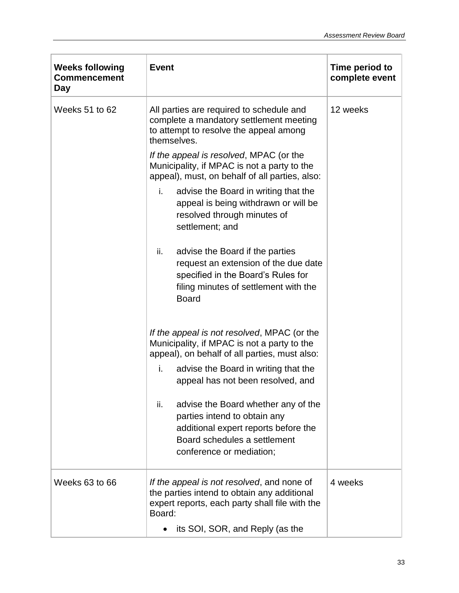| <b>Weeks following</b><br><b>Commencement</b><br>Day | <b>Event</b>                                                                                                                                                                             | Time period to<br>complete event |
|------------------------------------------------------|------------------------------------------------------------------------------------------------------------------------------------------------------------------------------------------|----------------------------------|
| Weeks 51 to 62                                       | All parties are required to schedule and<br>complete a mandatory settlement meeting<br>to attempt to resolve the appeal among<br>themselves.                                             | 12 weeks                         |
|                                                      | If the appeal is resolved, MPAC (or the<br>Municipality, if MPAC is not a party to the<br>appeal), must, on behalf of all parties, also:                                                 |                                  |
|                                                      | i.<br>advise the Board in writing that the<br>appeal is being withdrawn or will be<br>resolved through minutes of<br>settlement; and                                                     |                                  |
|                                                      | advise the Board if the parties<br>ii.<br>request an extension of the due date<br>specified in the Board's Rules for<br>filing minutes of settlement with the<br><b>Board</b>            |                                  |
|                                                      | If the appeal is not resolved, MPAC (or the<br>Municipality, if MPAC is not a party to the<br>appeal), on behalf of all parties, must also:                                              |                                  |
|                                                      | i.<br>advise the Board in writing that the<br>appeal has not been resolved, and                                                                                                          |                                  |
|                                                      | ii.<br>advise the Board whether any of the<br>parties intend to obtain any<br>additional expert reports before the<br>Board schedules a settlement<br>conference or mediation;           |                                  |
| Weeks 63 to 66                                       | If the appeal is not resolved, and none of<br>the parties intend to obtain any additional<br>expert reports, each party shall file with the<br>Board:<br>its SOI, SOR, and Reply (as the | 4 weeks                          |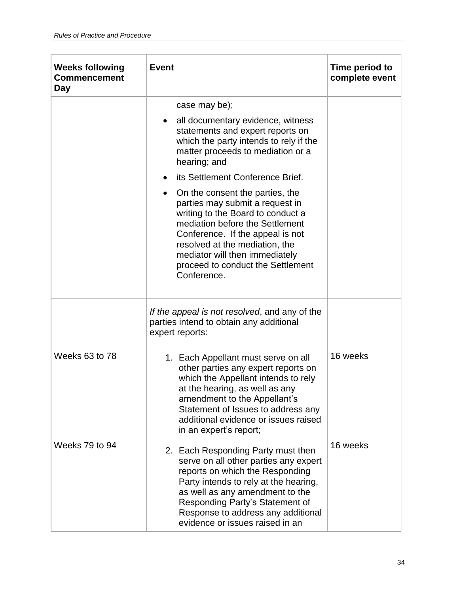| <b>Weeks following</b><br><b>Commencement</b><br>Day | <b>Event</b>                                                                                                                                                                                                                                                                                           | Time period to<br>complete event |
|------------------------------------------------------|--------------------------------------------------------------------------------------------------------------------------------------------------------------------------------------------------------------------------------------------------------------------------------------------------------|----------------------------------|
|                                                      | case may be);                                                                                                                                                                                                                                                                                          |                                  |
|                                                      | all documentary evidence, witness<br>statements and expert reports on<br>which the party intends to rely if the<br>matter proceeds to mediation or a<br>hearing; and                                                                                                                                   |                                  |
|                                                      | its Settlement Conference Brief.                                                                                                                                                                                                                                                                       |                                  |
|                                                      | On the consent the parties, the<br>parties may submit a request in<br>writing to the Board to conduct a<br>mediation before the Settlement<br>Conference. If the appeal is not<br>resolved at the mediation, the<br>mediator will then immediately<br>proceed to conduct the Settlement<br>Conference. |                                  |
|                                                      | If the appeal is not resolved, and any of the<br>parties intend to obtain any additional<br>expert reports:                                                                                                                                                                                            |                                  |
| Weeks 63 to 78                                       | 1. Each Appellant must serve on all<br>other parties any expert reports on<br>which the Appellant intends to rely<br>at the hearing, as well as any<br>amendment to the Appellant's<br>Statement of Issues to address any<br>additional evidence or issues raised<br>in an expert's report;            | 16 weeks                         |
| Weeks 79 to 94                                       | 2. Each Responding Party must then<br>serve on all other parties any expert<br>reports on which the Responding<br>Party intends to rely at the hearing,<br>as well as any amendment to the<br>Responding Party's Statement of<br>Response to address any additional<br>evidence or issues raised in an | 16 weeks                         |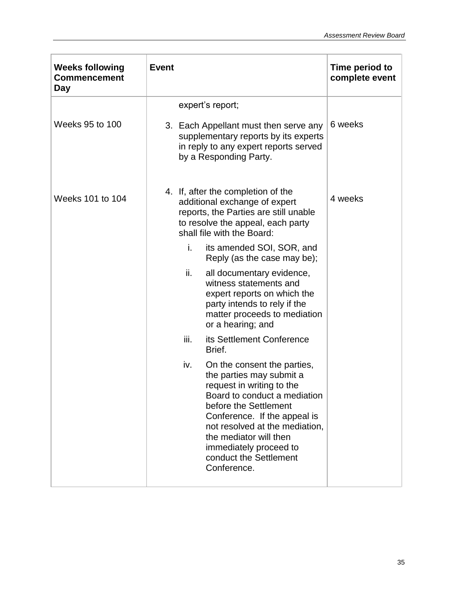| <b>Weeks following</b><br><b>Commencement</b><br>Day | <b>Event</b>                                                                                                                                                                                                                                                                                                        | Time period to<br>complete event |
|------------------------------------------------------|---------------------------------------------------------------------------------------------------------------------------------------------------------------------------------------------------------------------------------------------------------------------------------------------------------------------|----------------------------------|
| Weeks 95 to 100                                      | expert's report;<br>3. Each Appellant must then serve any<br>supplementary reports by its experts<br>in reply to any expert reports served<br>by a Responding Party.                                                                                                                                                | 6 weeks                          |
| Weeks 101 to 104                                     | 4. If, after the completion of the<br>additional exchange of expert<br>reports, the Parties are still unable<br>to resolve the appeal, each party<br>shall file with the Board:                                                                                                                                     | 4 weeks                          |
|                                                      | i.<br>its amended SOI, SOR, and<br>Reply (as the case may be);                                                                                                                                                                                                                                                      |                                  |
|                                                      | ii.<br>all documentary evidence,<br>witness statements and<br>expert reports on which the<br>party intends to rely if the<br>matter proceeds to mediation<br>or a hearing; and                                                                                                                                      |                                  |
|                                                      | its Settlement Conference<br>iii.<br>Brief.                                                                                                                                                                                                                                                                         |                                  |
|                                                      | iv.<br>On the consent the parties,<br>the parties may submit a<br>request in writing to the<br>Board to conduct a mediation<br>before the Settlement<br>Conference. If the appeal is<br>not resolved at the mediation,<br>the mediator will then<br>immediately proceed to<br>conduct the Settlement<br>Conference. |                                  |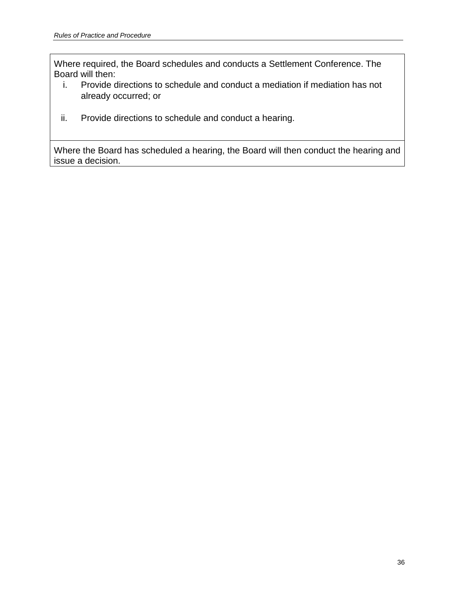Where required, the Board schedules and conducts a Settlement Conference. The Board will then:

- i. Provide directions to schedule and conduct a mediation if mediation has not already occurred; or
- ii. Provide directions to schedule and conduct a hearing.

Where the Board has scheduled a hearing, the Board will then conduct the hearing and issue a decision.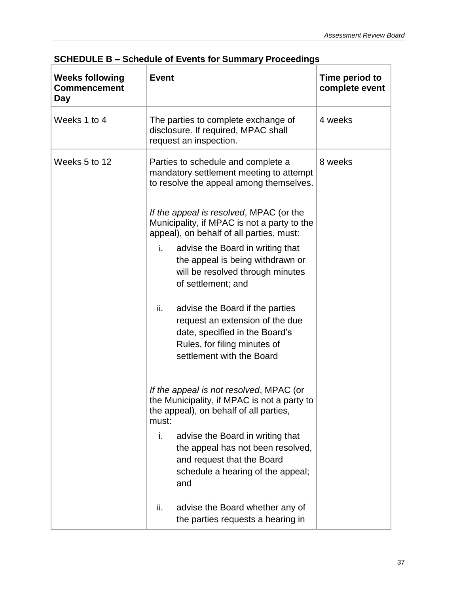| <b>Weeks following</b><br><b>Commencement</b><br>Day | <b>Event</b>                                                                                                                                                             | Time period to<br>complete event |
|------------------------------------------------------|--------------------------------------------------------------------------------------------------------------------------------------------------------------------------|----------------------------------|
| Weeks 1 to 4                                         | The parties to complete exchange of<br>disclosure. If required, MPAC shall<br>request an inspection.                                                                     | 4 weeks                          |
| Weeks 5 to 12                                        | Parties to schedule and complete a<br>mandatory settlement meeting to attempt<br>to resolve the appeal among themselves.                                                 | 8 weeks                          |
|                                                      | If the appeal is resolved, MPAC (or the<br>Municipality, if MPAC is not a party to the<br>appeal), on behalf of all parties, must:                                       |                                  |
|                                                      | advise the Board in writing that<br>i.<br>the appeal is being withdrawn or<br>will be resolved through minutes<br>of settlement; and                                     |                                  |
|                                                      | advise the Board if the parties<br>ii.<br>request an extension of the due<br>date, specified in the Board's<br>Rules, for filing minutes of<br>settlement with the Board |                                  |
|                                                      | If the appeal is not resolved, MPAC (or<br>the Municipality, if MPAC is not a party to<br>the appeal), on behalf of all parties,<br>must:                                |                                  |
|                                                      | i.<br>advise the Board in writing that<br>the appeal has not been resolved,<br>and request that the Board<br>schedule a hearing of the appeal;<br>and                    |                                  |
|                                                      | advise the Board whether any of<br>ii.<br>the parties requests a hearing in                                                                                              |                                  |

## <span id="page-36-0"></span>**SCHEDULE B – Schedule of Events for Summary Proceedings**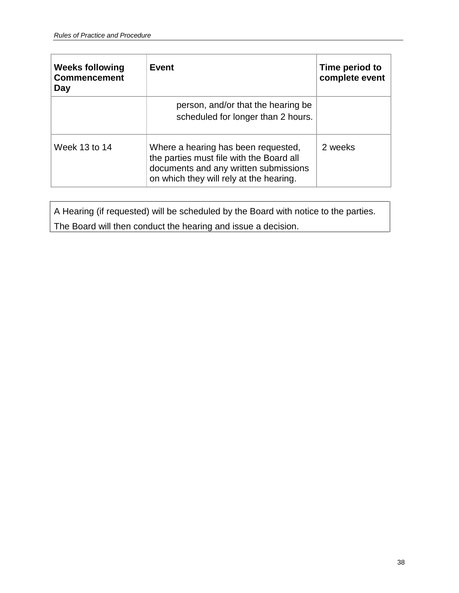| <b>Weeks following</b><br><b>Commencement</b><br>Day | <b>Event</b>                                                                                                                                                        | Time period to<br>complete event |
|------------------------------------------------------|---------------------------------------------------------------------------------------------------------------------------------------------------------------------|----------------------------------|
|                                                      | person, and/or that the hearing be<br>scheduled for longer than 2 hours.                                                                                            |                                  |
| Week 13 to 14                                        | Where a hearing has been requested,<br>the parties must file with the Board all<br>documents and any written submissions<br>on which they will rely at the hearing. | 2 weeks                          |

A Hearing (if requested) will be scheduled by the Board with notice to the parties. The Board will then conduct the hearing and issue a decision.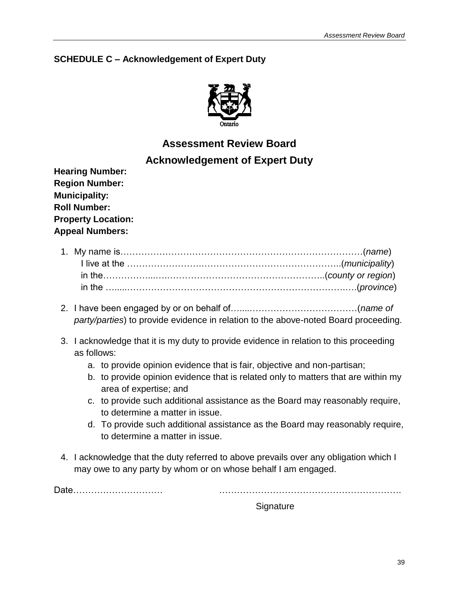## <span id="page-38-0"></span>**SCHEDULE C – Acknowledgement of Expert Duty**



## **Assessment Review Board Acknowledgement of Expert Duty**

**Hearing Number: Region Number: Municipality: Roll Number: Property Location: Appeal Numbers:**

- 2. I have been engaged by or on behalf of…....………………………………(*name of party/parties*) to provide evidence in relation to the above-noted Board proceeding.
- 3. I acknowledge that it is my duty to provide evidence in relation to this proceeding as follows:
	- a. to provide opinion evidence that is fair, objective and non-partisan;
	- b. to provide opinion evidence that is related only to matters that are within my area of expertise; and
	- c. to provide such additional assistance as the Board may reasonably require, to determine a matter in issue.
	- d. To provide such additional assistance as the Board may reasonably require, to determine a matter in issue.
- 4. I acknowledge that the duty referred to above prevails over any obligation which I may owe to any party by whom or on whose behalf I am engaged.

Date………………………… …………………………………………………….

**Signature**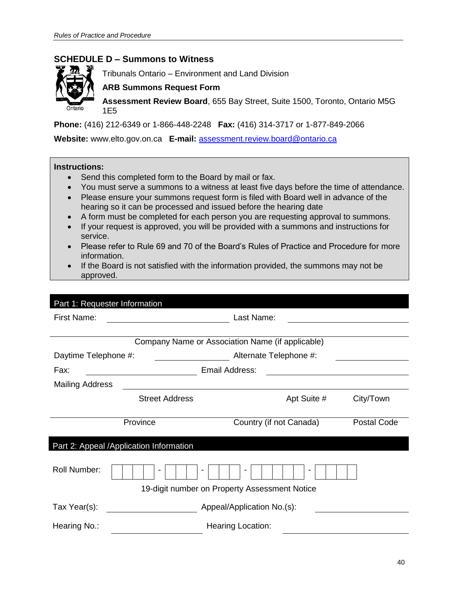## <span id="page-39-0"></span>**SCHEDULE D – Summons to Witness**



Tribunals Ontario – Environment and Land Division

#### **ARB Summons Request Form**

**Assessment Review Board**, 655 Bay Street, Suite 1500, Toronto, Ontario M5G 1E5

**Phone:** (416) 212-6349 or 1-866-448-2248 **Fax:** (416) 314-3717 or 1-877-849-2066

**Website:** www.elto.gov.on.ca **E-mail:** [assessment.review.board@ontario.ca](mailto:assessment.review.board@ontario.ca)

#### **Instructions:**

- Send this completed form to the Board by mail or fax.
- You must serve a summons to a witness at least five days before the time of attendance.
- Please ensure your summons request form is filed with Board well in advance of the hearing so it can be processed and issued before the hearing date
- A form must be completed for each person you are requesting approval to summons.
- If your request is approved, you will be provided with a summons and instructions for service.
- Please refer to Rule 69 and 70 of the Board's Rules of Practice and Procedure for more information.
- If the Board is not satisfied with the information provided, the summons may not be approved.

| Part 1: Requester Information |                                         |                                                  |                    |  |
|-------------------------------|-----------------------------------------|--------------------------------------------------|--------------------|--|
| First Name:                   |                                         | Last Name:                                       |                    |  |
|                               |                                         |                                                  |                    |  |
|                               |                                         | Company Name or Association Name (if applicable) |                    |  |
| Daytime Telephone #:          |                                         | Alternate Telephone #:                           |                    |  |
| Fax:                          |                                         | Email Address:                                   |                    |  |
| <b>Mailing Address</b>        |                                         |                                                  |                    |  |
|                               | <b>Street Address</b>                   | Apt Suite #                                      | City/Town          |  |
|                               |                                         |                                                  |                    |  |
|                               | Province                                | Country (if not Canada)                          | <b>Postal Code</b> |  |
|                               | Part 2: Appeal /Application Information |                                                  |                    |  |
|                               |                                         |                                                  |                    |  |
| <b>Roll Number:</b>           |                                         |                                                  |                    |  |
|                               |                                         | 19-digit number on Property Assessment Notice    |                    |  |
| Tax Year(s):                  |                                         | Appeal/Application No.(s):                       |                    |  |
| Hearing No.:                  |                                         | <b>Hearing Location:</b>                         |                    |  |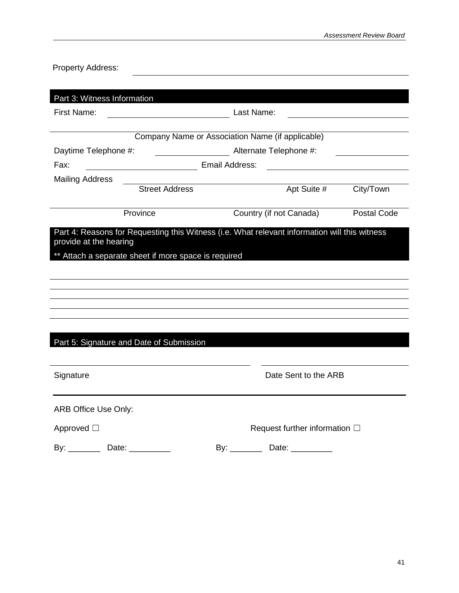| <b>Property Address:</b>                             |                                                                                                                     |                                                   |                    |
|------------------------------------------------------|---------------------------------------------------------------------------------------------------------------------|---------------------------------------------------|--------------------|
|                                                      |                                                                                                                     |                                                   |                    |
| Part 3: Witness Information                          |                                                                                                                     |                                                   |                    |
| <b>First Name:</b>                                   | <u> 1980 - Johann Barn, mars eta bainar eta baina eta baina eta baina eta baina eta baina eta baina eta baina e</u> | Last Name:                                        |                    |
|                                                      |                                                                                                                     |                                                   |                    |
|                                                      |                                                                                                                     | Company Name or Association Name (if applicable)  |                    |
| Daytime Telephone #:                                 |                                                                                                                     | Alternate Telephone #:                            |                    |
| Fax:                                                 | <b>Email Address:</b> Email Address:                                                                                | <u> 1989 - Andrea Brand, amerikansk politik (</u> |                    |
| <b>Mailing Address</b>                               |                                                                                                                     |                                                   |                    |
| <b>Street Address</b>                                |                                                                                                                     | Apt Suite #                                       | City/Town          |
| Province                                             |                                                                                                                     | Country (if not Canada)                           | <b>Postal Code</b> |
| ** Attach a separate sheet if more space is required |                                                                                                                     |                                                   |                    |
| Part 5: Signature and Date of Submission             |                                                                                                                     |                                                   |                    |
| Signature                                            |                                                                                                                     | Date Sent to the ARB                              |                    |
| ARB Office Use Only:                                 |                                                                                                                     |                                                   |                    |
| Approved □                                           |                                                                                                                     | Request further information $\square$             |                    |
|                                                      |                                                                                                                     |                                                   |                    |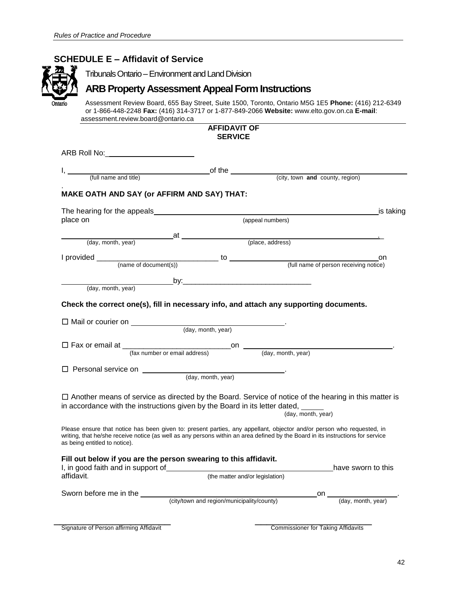<span id="page-41-0"></span>

|                                               | <b>ARB Property Assessment Appeal Form Instructions</b>                                                                                                                                                                                                  |                    |                    |
|-----------------------------------------------|----------------------------------------------------------------------------------------------------------------------------------------------------------------------------------------------------------------------------------------------------------|--------------------|--------------------|
| Ontario<br>assessment.review.board@ontario.ca | Assessment Review Board, 655 Bay Street, Suite 1500, Toronto, Ontario M5G 1E5 Phone: (416) 212-6349<br>or 1-866-448-2248 Fax: (416) 314-3717 or 1-877-849-2066 Website: www.elto.gov.on.ca E-mail:                                                       |                    |                    |
|                                               | <b>AFFIDAVIT OF</b>                                                                                                                                                                                                                                      |                    |                    |
|                                               | <b>SERVICE</b>                                                                                                                                                                                                                                           |                    |                    |
| ARB Roll No:_________________________         |                                                                                                                                                                                                                                                          |                    |                    |
|                                               |                                                                                                                                                                                                                                                          |                    |                    |
|                                               |                                                                                                                                                                                                                                                          |                    |                    |
|                                               | <b>MAKE OATH AND SAY (or AFFIRM AND SAY) THAT:</b>                                                                                                                                                                                                       |                    |                    |
|                                               |                                                                                                                                                                                                                                                          |                    |                    |
| place on                                      |                                                                                                                                                                                                                                                          | (appeal numbers)   |                    |
|                                               |                                                                                                                                                                                                                                                          |                    |                    |
|                                               |                                                                                                                                                                                                                                                          |                    |                    |
|                                               |                                                                                                                                                                                                                                                          |                    |                    |
|                                               |                                                                                                                                                                                                                                                          |                    |                    |
|                                               |                                                                                                                                                                                                                                                          |                    |                    |
|                                               |                                                                                                                                                                                                                                                          |                    |                    |
| (day, month, year)                            |                                                                                                                                                                                                                                                          |                    |                    |
|                                               | Check the correct one(s), fill in necessary info, and attach any supporting documents.                                                                                                                                                                   |                    |                    |
|                                               | $\Box$ Mail or courier on $\Box$ (day, month, year)                                                                                                                                                                                                      |                    |                    |
|                                               |                                                                                                                                                                                                                                                          |                    |                    |
|                                               | $\Box$ Fax or email at $\Box$ (fax number or email address) on $\Box$ (day, month, year)                                                                                                                                                                 |                    |                    |
|                                               |                                                                                                                                                                                                                                                          |                    |                    |
|                                               | $\Box$ Personal service on $\Box$ (day, month, year)                                                                                                                                                                                                     |                    |                    |
|                                               | $\Box$ Another means of service as directed by the Board. Service of notice of the hearing in this matter is<br>in accordance with the instructions given by the Board in its letter dated,                                                              | (day, month, year) |                    |
| as being entitled to notice).                 | Please ensure that notice has been given to: present parties, any appellant, objector and/or person who requested, in<br>writing, that he/she receive notice (as well as any persons within an area defined by the Board in its instructions for service |                    |                    |
| I, in good faith and in support of            | Fill out below if you are the person swearing to this affidavit.                                                                                                                                                                                         |                    | have sworn to this |
| affidavit.                                    | (the matter and/or legislation)                                                                                                                                                                                                                          |                    |                    |
| Sworn before me in the                        | (city/town and region/municipality/county)                                                                                                                                                                                                               |                    | (day, month, year) |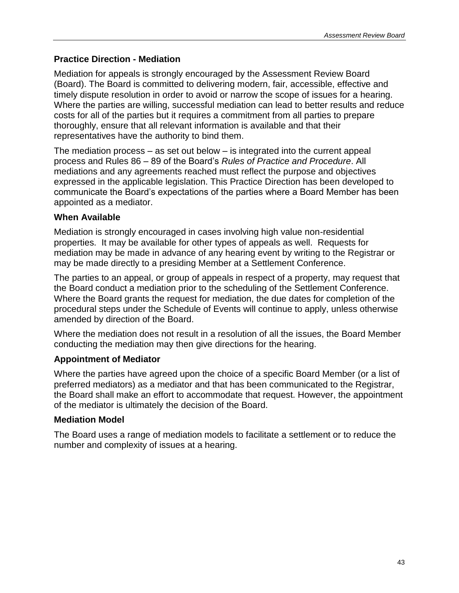## <span id="page-42-0"></span>**Practice Direction - Mediation**

Mediation for appeals is strongly encouraged by the Assessment Review Board (Board). The Board is committed to delivering modern, fair, accessible, effective and timely dispute resolution in order to avoid or narrow the scope of issues for a hearing. Where the parties are willing, successful mediation can lead to better results and reduce costs for all of the parties but it requires a commitment from all parties to prepare thoroughly, ensure that all relevant information is available and that their representatives have the authority to bind them.

The mediation process – as set out below – is integrated into the current appeal process and Rules 86 – 89 of the Board's *Rules of Practice and Procedure*. All mediations and any agreements reached must reflect the purpose and objectives expressed in the applicable legislation. This Practice Direction has been developed to communicate the Board's expectations of the parties where a Board Member has been appointed as a mediator.

## **When Available**

Mediation is strongly encouraged in cases involving high value non-residential properties. It may be available for other types of appeals as well. Requests for mediation may be made in advance of any hearing event by writing to the Registrar or may be made directly to a presiding Member at a Settlement Conference.

The parties to an appeal, or group of appeals in respect of a property, may request that the Board conduct a mediation prior to the scheduling of the Settlement Conference. Where the Board grants the request for mediation, the due dates for completion of the procedural steps under the Schedule of Events will continue to apply, unless otherwise amended by direction of the Board.

Where the mediation does not result in a resolution of all the issues, the Board Member conducting the mediation may then give directions for the hearing.

## **Appointment of Mediator**

Where the parties have agreed upon the choice of a specific Board Member (or a list of preferred mediators) as a mediator and that has been communicated to the Registrar, the Board shall make an effort to accommodate that request. However, the appointment of the mediator is ultimately the decision of the Board.

## **Mediation Model**

The Board uses a range of mediation models to facilitate a settlement or to reduce the number and complexity of issues at a hearing.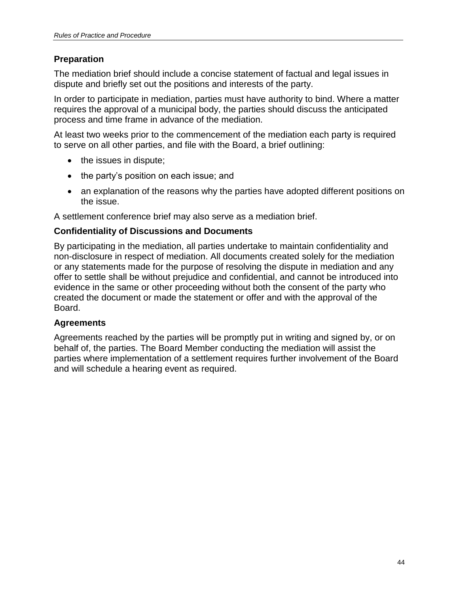## **Preparation**

The mediation brief should include a concise statement of factual and legal issues in dispute and briefly set out the positions and interests of the party.

In order to participate in mediation, parties must have authority to bind. Where a matter requires the approval of a municipal body, the parties should discuss the anticipated process and time frame in advance of the mediation.

At least two weeks prior to the commencement of the mediation each party is required to serve on all other parties, and file with the Board, a brief outlining:

- the issues in dispute;
- the party's position on each issue; and
- an explanation of the reasons why the parties have adopted different positions on the issue.

A settlement conference brief may also serve as a mediation brief.

## **Confidentiality of Discussions and Documents**

By participating in the mediation, all parties undertake to maintain confidentiality and non-disclosure in respect of mediation. All documents created solely for the mediation or any statements made for the purpose of resolving the dispute in mediation and any offer to settle shall be without prejudice and confidential, and cannot be introduced into evidence in the same or other proceeding without both the consent of the party who created the document or made the statement or offer and with the approval of the Board.

## **Agreements**

Agreements reached by the parties will be promptly put in writing and signed by, or on behalf of, the parties. The Board Member conducting the mediation will assist the parties where implementation of a settlement requires further involvement of the Board and will schedule a hearing event as required.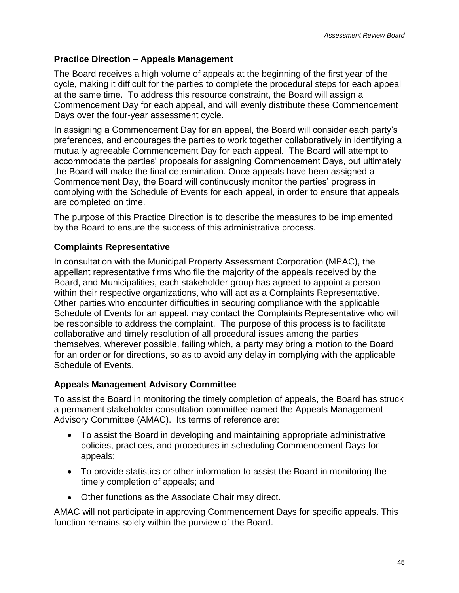## <span id="page-44-0"></span>**Practice Direction – Appeals Management**

The Board receives a high volume of appeals at the beginning of the first year of the cycle, making it difficult for the parties to complete the procedural steps for each appeal at the same time. To address this resource constraint, the Board will assign a Commencement Day for each appeal, and will evenly distribute these Commencement Days over the four-year assessment cycle.

In assigning a Commencement Day for an appeal, the Board will consider each party's preferences, and encourages the parties to work together collaboratively in identifying a mutually agreeable Commencement Day for each appeal. The Board will attempt to accommodate the parties' proposals for assigning Commencement Days, but ultimately the Board will make the final determination. Once appeals have been assigned a Commencement Day, the Board will continuously monitor the parties' progress in complying with the Schedule of Events for each appeal, in order to ensure that appeals are completed on time.

The purpose of this Practice Direction is to describe the measures to be implemented by the Board to ensure the success of this administrative process.

## **Complaints Representative**

In consultation with the Municipal Property Assessment Corporation (MPAC), the appellant representative firms who file the majority of the appeals received by the Board, and Municipalities, each stakeholder group has agreed to appoint a person within their respective organizations, who will act as a Complaints Representative. Other parties who encounter difficulties in securing compliance with the applicable Schedule of Events for an appeal, may contact the Complaints Representative who will be responsible to address the complaint. The purpose of this process is to facilitate collaborative and timely resolution of all procedural issues among the parties themselves, wherever possible, failing which, a party may bring a motion to the Board for an order or for directions, so as to avoid any delay in complying with the applicable Schedule of Events.

## **Appeals Management Advisory Committee**

To assist the Board in monitoring the timely completion of appeals, the Board has struck a permanent stakeholder consultation committee named the Appeals Management Advisory Committee (AMAC). Its terms of reference are:

- To assist the Board in developing and maintaining appropriate administrative policies, practices, and procedures in scheduling Commencement Days for appeals;
- To provide statistics or other information to assist the Board in monitoring the timely completion of appeals; and
- Other functions as the Associate Chair may direct.

AMAC will not participate in approving Commencement Days for specific appeals. This function remains solely within the purview of the Board.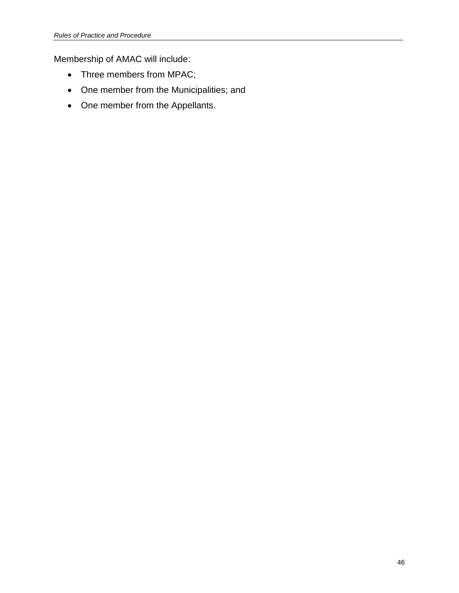Membership of AMAC will include:

- Three members from MPAC;
- One member from the Municipalities; and
- One member from the Appellants.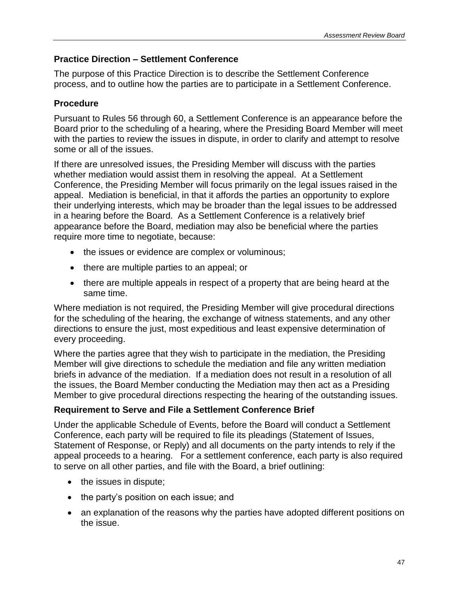## <span id="page-46-0"></span>**Practice Direction – Settlement Conference**

The purpose of this Practice Direction is to describe the Settlement Conference process, and to outline how the parties are to participate in a Settlement Conference.

## **Procedure**

Pursuant to Rules 56 through 60, a Settlement Conference is an appearance before the Board prior to the scheduling of a hearing, where the Presiding Board Member will meet with the parties to review the issues in dispute, in order to clarify and attempt to resolve some or all of the issues.

If there are unresolved issues, the Presiding Member will discuss with the parties whether mediation would assist them in resolving the appeal. At a Settlement Conference, the Presiding Member will focus primarily on the legal issues raised in the appeal. Mediation is beneficial, in that it affords the parties an opportunity to explore their underlying interests, which may be broader than the legal issues to be addressed in a hearing before the Board. As a Settlement Conference is a relatively brief appearance before the Board, mediation may also be beneficial where the parties require more time to negotiate, because:

- the issues or evidence are complex or voluminous;
- there are multiple parties to an appeal; or
- there are multiple appeals in respect of a property that are being heard at the same time.

Where mediation is not required, the Presiding Member will give procedural directions for the scheduling of the hearing, the exchange of witness statements, and any other directions to ensure the just, most expeditious and least expensive determination of every proceeding.

Where the parties agree that they wish to participate in the mediation, the Presiding Member will give directions to schedule the mediation and file any written mediation briefs in advance of the mediation. If a mediation does not result in a resolution of all the issues, the Board Member conducting the Mediation may then act as a Presiding Member to give procedural directions respecting the hearing of the outstanding issues.

## **Requirement to Serve and File a Settlement Conference Brief**

Under the applicable Schedule of Events, before the Board will conduct a Settlement Conference, each party will be required to file its pleadings (Statement of Issues, Statement of Response, or Reply) and all documents on the party intends to rely if the appeal proceeds to a hearing. For a settlement conference, each party is also required to serve on all other parties, and file with the Board, a brief outlining:

- the issues in dispute;
- the party's position on each issue; and
- an explanation of the reasons why the parties have adopted different positions on the issue.